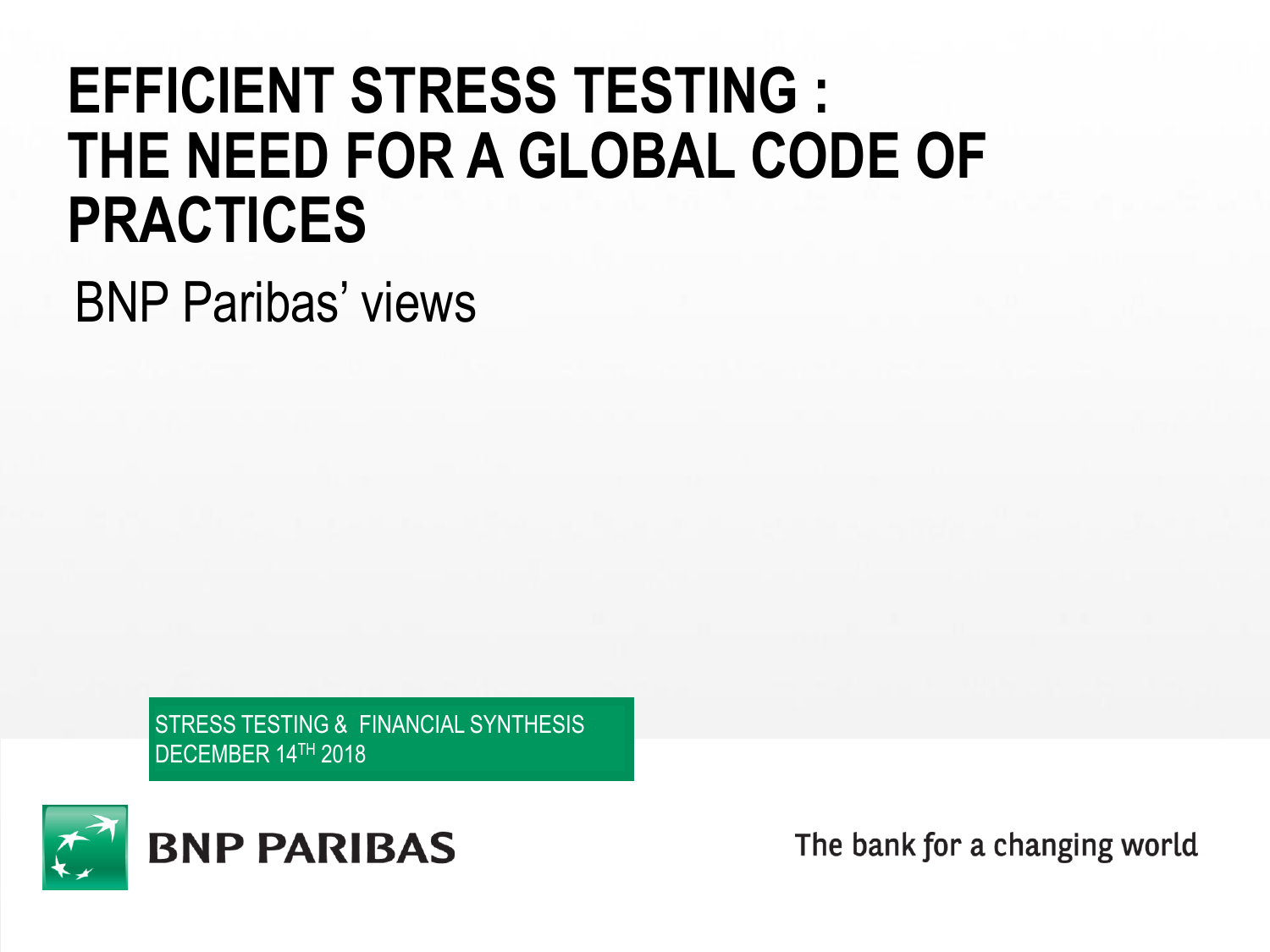# **EFFICIENT STRESS TESTING : THE NEED FOR A GLOBAL CODE OF PRACTICES**

BNP Paribas' views

STRESS TESTING & FINANCIAL SYNTHESIS DECEMBER 14TH 2018



The bank for a changing world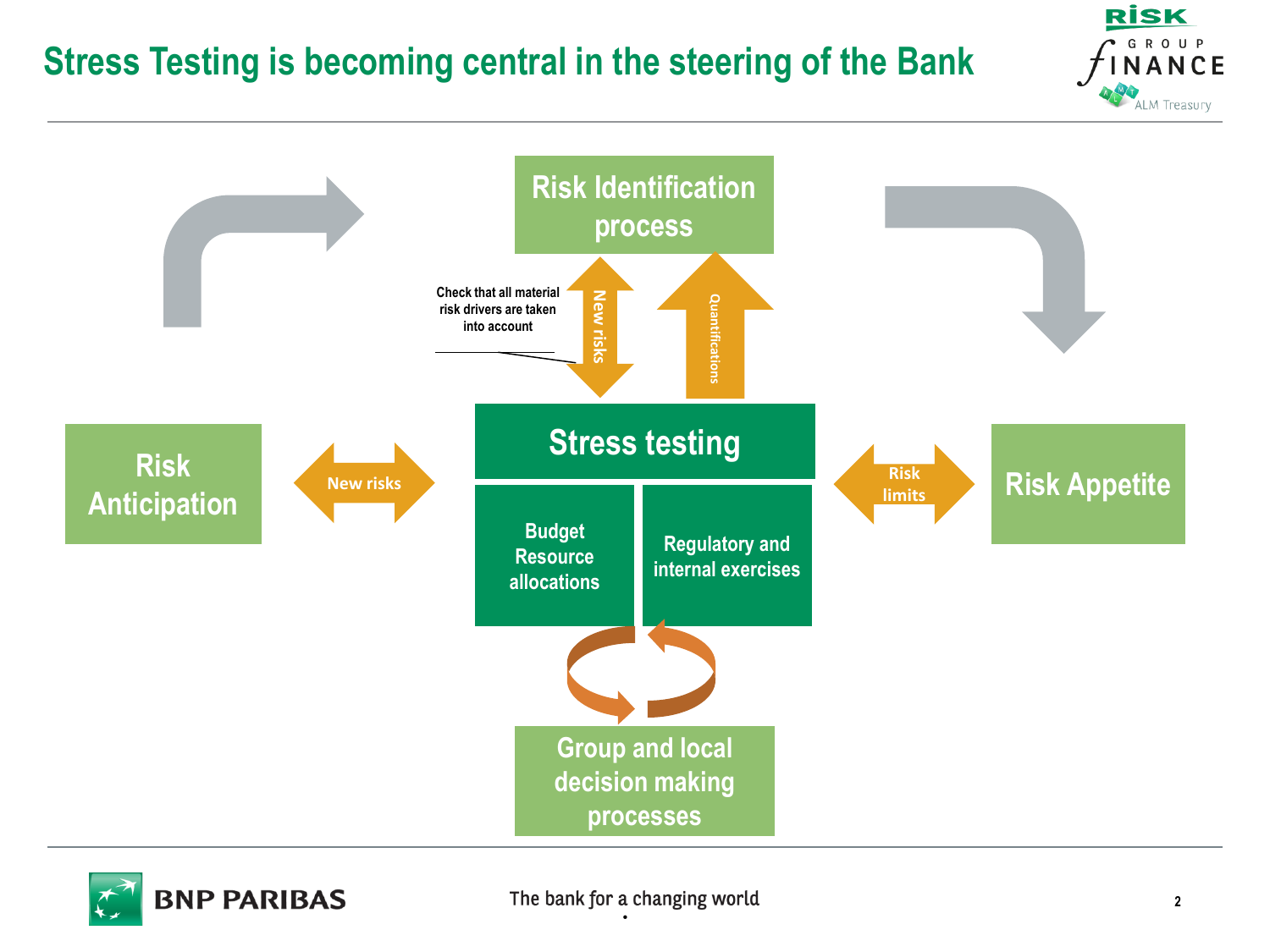## **Stress Testing is becoming central in the steering of the Bank**





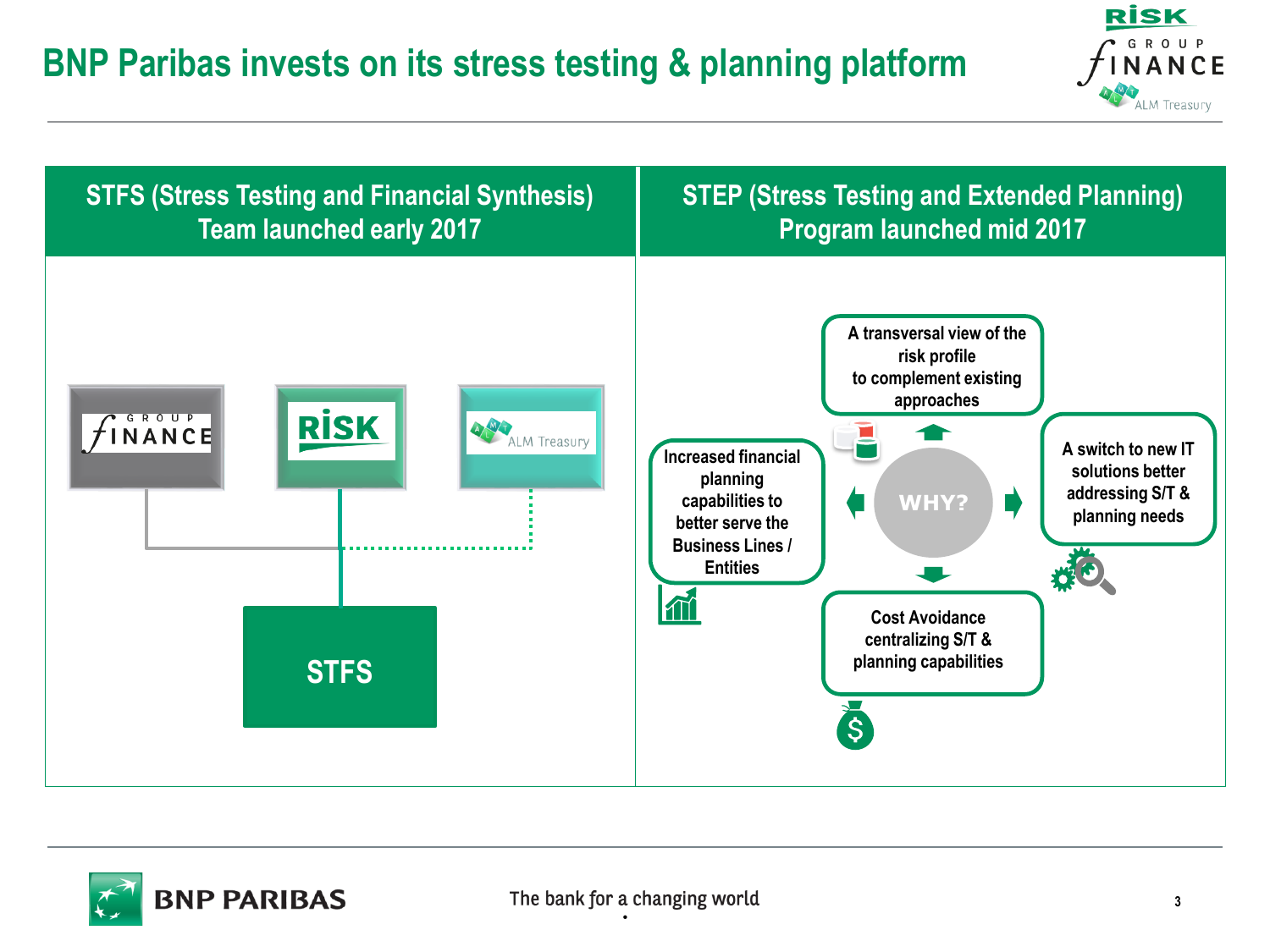# **BNP Paribas invests on its stress testing & planning platform**





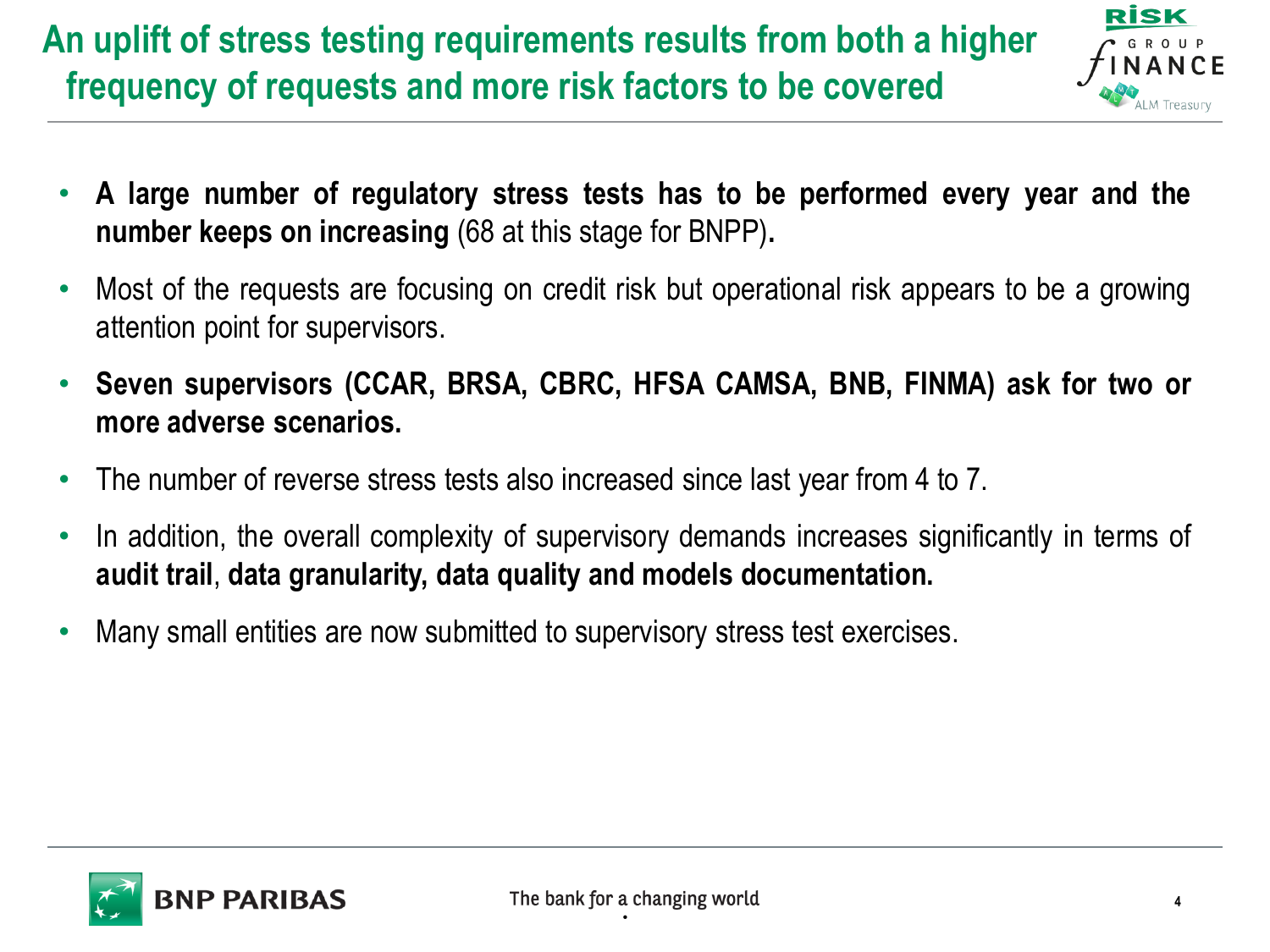# **An uplift of stress testing requirements results from both a higher frequency of requests and more risk factors to be covered**



- **A large number of regulatory stress tests has to be performed every year and the number keeps on increasing** (68 at this stage for BNPP)**.**
- Most of the requests are focusing on credit risk but operational risk appears to be a growing attention point for supervisors.
- **Seven supervisors (CCAR, BRSA, CBRC, HFSA CAMSA, BNB, FINMA) ask for two or more adverse scenarios.**
- The number of reverse stress tests also increased since last year from 4 to 7.
- In addition, the overall complexity of supervisory demands increases significantly in terms of **audit trail**, **data granularity, data quality and models documentation.**
- Many small entities are now submitted to supervisory stress test exercises.

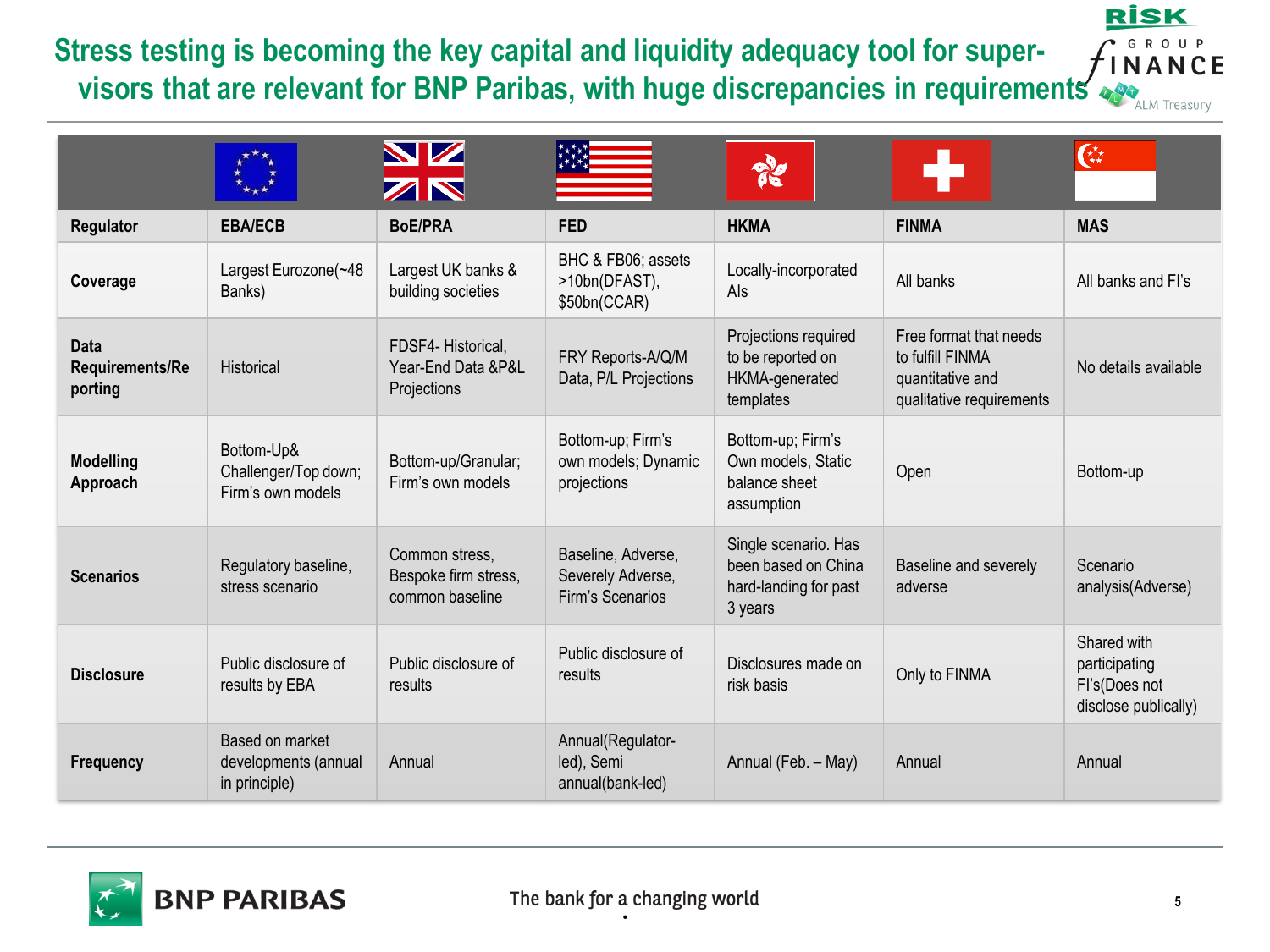### **Stress testing is becoming the key capital and liquidity adequacy tool for supervisors that are relevant for BNP Paribas, with huge discrepancies in requirements**

| <b>RISK</b>         |  |  |  |  |                     |  |  |  |  |  |
|---------------------|--|--|--|--|---------------------|--|--|--|--|--|
| f <sup>G</sup> ROUP |  |  |  |  |                     |  |  |  |  |  |
|                     |  |  |  |  |                     |  |  |  |  |  |
|                     |  |  |  |  | <b>ALM Treasury</b> |  |  |  |  |  |

|                                    |                                                          | NZ<br>ZN                                                  |                                                             | ११                                                                              |                                                                                            | ⋐                                                                     |
|------------------------------------|----------------------------------------------------------|-----------------------------------------------------------|-------------------------------------------------------------|---------------------------------------------------------------------------------|--------------------------------------------------------------------------------------------|-----------------------------------------------------------------------|
| Regulator                          | <b>EBA/ECB</b>                                           | <b>BoE/PRA</b>                                            | <b>FED</b>                                                  | <b>HKMA</b>                                                                     | <b>FINMA</b>                                                                               | <b>MAS</b>                                                            |
| Coverage                           | Largest Eurozone(~48<br>Banks)                           | Largest UK banks &<br>building societies                  | BHC & FB06; assets<br>>10bn(DFAST),<br>\$50bn(CCAR)         | Locally-incorporated<br>Als                                                     | All banks                                                                                  | All banks and FI's                                                    |
| Data<br>Requirements/Re<br>porting | Historical                                               | FDSF4-Historical,<br>Year-End Data & P&L<br>Projections   | FRY Reports-A/Q/M<br>Data, P/L Projections                  | Projections required<br>to be reported on<br>HKMA-generated<br>templates        | Free format that needs<br>to fulfill FINMA<br>quantitative and<br>qualitative requirements | No details available                                                  |
| <b>Modelling</b><br>Approach       | Bottom-Up&<br>Challenger/Top down;<br>Firm's own models  | Bottom-up/Granular;<br>Firm's own models                  | Bottom-up; Firm's<br>own models; Dynamic<br>projections     | Bottom-up; Firm's<br>Own models, Static<br>balance sheet<br>assumption          | Open                                                                                       | Bottom-up                                                             |
| <b>Scenarios</b>                   | Regulatory baseline,<br>stress scenario                  | Common stress,<br>Bespoke firm stress,<br>common baseline | Baseline, Adverse,<br>Severely Adverse,<br>Firm's Scenarios | Single scenario. Has<br>been based on China<br>hard-landing for past<br>3 years | Baseline and severely<br>adverse                                                           | Scenario<br>analysis(Adverse)                                         |
| <b>Disclosure</b>                  | Public disclosure of<br>results by EBA                   | Public disclosure of<br>results                           | Public disclosure of<br>results                             | Disclosures made on<br>risk basis                                               | Only to FINMA                                                                              | Shared with<br>participating<br>Fl's(Does not<br>disclose publically) |
| <b>Frequency</b>                   | Based on market<br>developments (annual<br>in principle) | Annual                                                    | Annual(Regulator-<br>led), Semi<br>annual(bank-led)         | Annual (Feb. - May)                                                             | Annual                                                                                     | Annual                                                                |

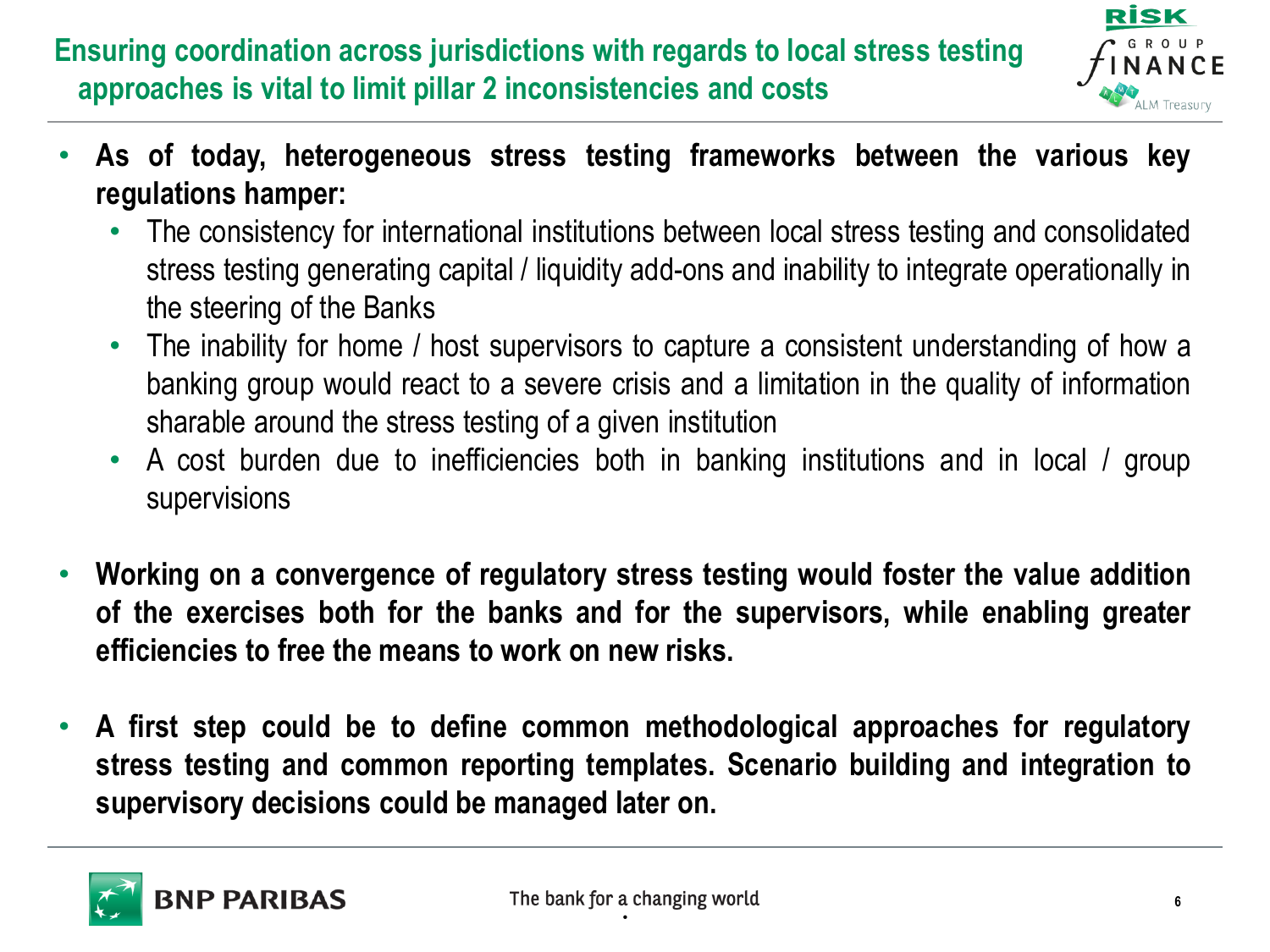## **Ensuring coordination across jurisdictions with regards to local stress testing approaches is vital to limit pillar 2 inconsistencies and costs**



- **As of today, heterogeneous stress testing frameworks between the various key regulations hamper:**
	- The consistency for international institutions between local stress testing and consolidated stress testing generating capital / liquidity add-ons and inability to integrate operationally in the steering of the Banks
	- The inability for home / host supervisors to capture a consistent understanding of how a banking group would react to a severe crisis and a limitation in the quality of information sharable around the stress testing of a given institution
	- A cost burden due to inefficiencies both in banking institutions and in local / group supervisions
- **Working on a convergence of regulatory stress testing would foster the value addition of the exercises both for the banks and for the supervisors, while enabling greater efficiencies to free the means to work on new risks.**
- **A first step could be to define common methodological approaches for regulatory stress testing and common reporting templates. Scenario building and integration to supervisory decisions could be managed later on.**

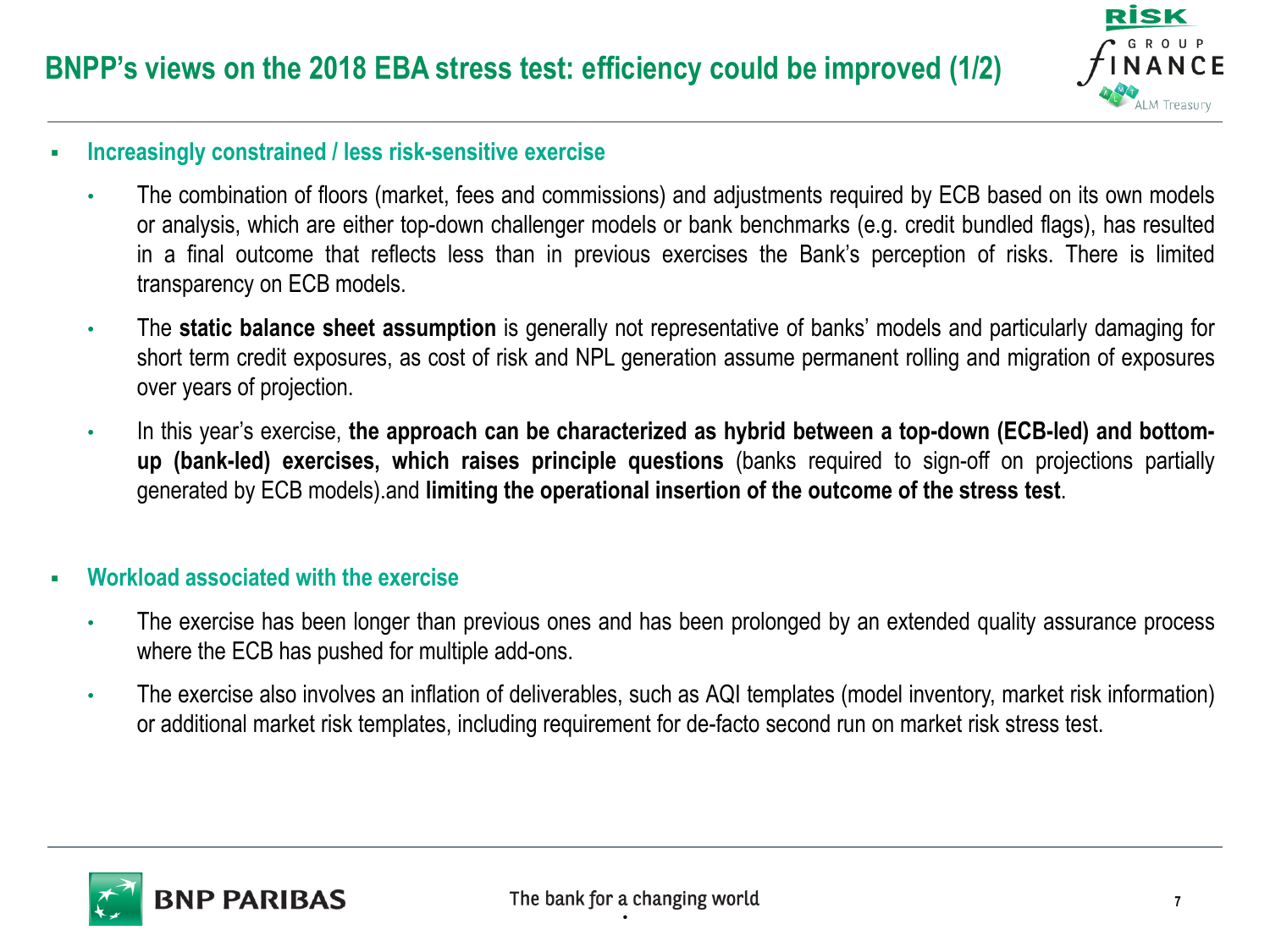

#### ▪ **Increasingly constrained / less risk-sensitive exercise**

- The combination of floors (market, fees and commissions) and adjustments required by ECB based on its own models or analysis, which are either top-down challenger models or bank benchmarks (e.g. credit bundled flags), has resulted in a final outcome that reflects less than in previous exercises the Bank's perception of risks. There is limited transparency on ECB models.
- The **static balance sheet assumption** is generally not representative of banks' models and particularly damaging for short term credit exposures, as cost of risk and NPL generation assume permanent rolling and migration of exposures over years of projection.
- In this year's exercise, **the approach can be characterized as hybrid between a top-down (ECB-led) and bottomup (bank-led) exercises, which raises principle questions** (banks required to sign-off on projections partially generated by ECB models).and **limiting the operational insertion of the outcome of the stress test**.

#### ▪ **Workload associated with the exercise**

- The exercise has been longer than previous ones and has been prolonged by an extended quality assurance process where the ECB has pushed for multiple add-ons.
- The exercise also involves an inflation of deliverables, such as AQI templates (model inventory, market risk information) or additional market risk templates, including requirement for de-facto second run on market risk stress test.

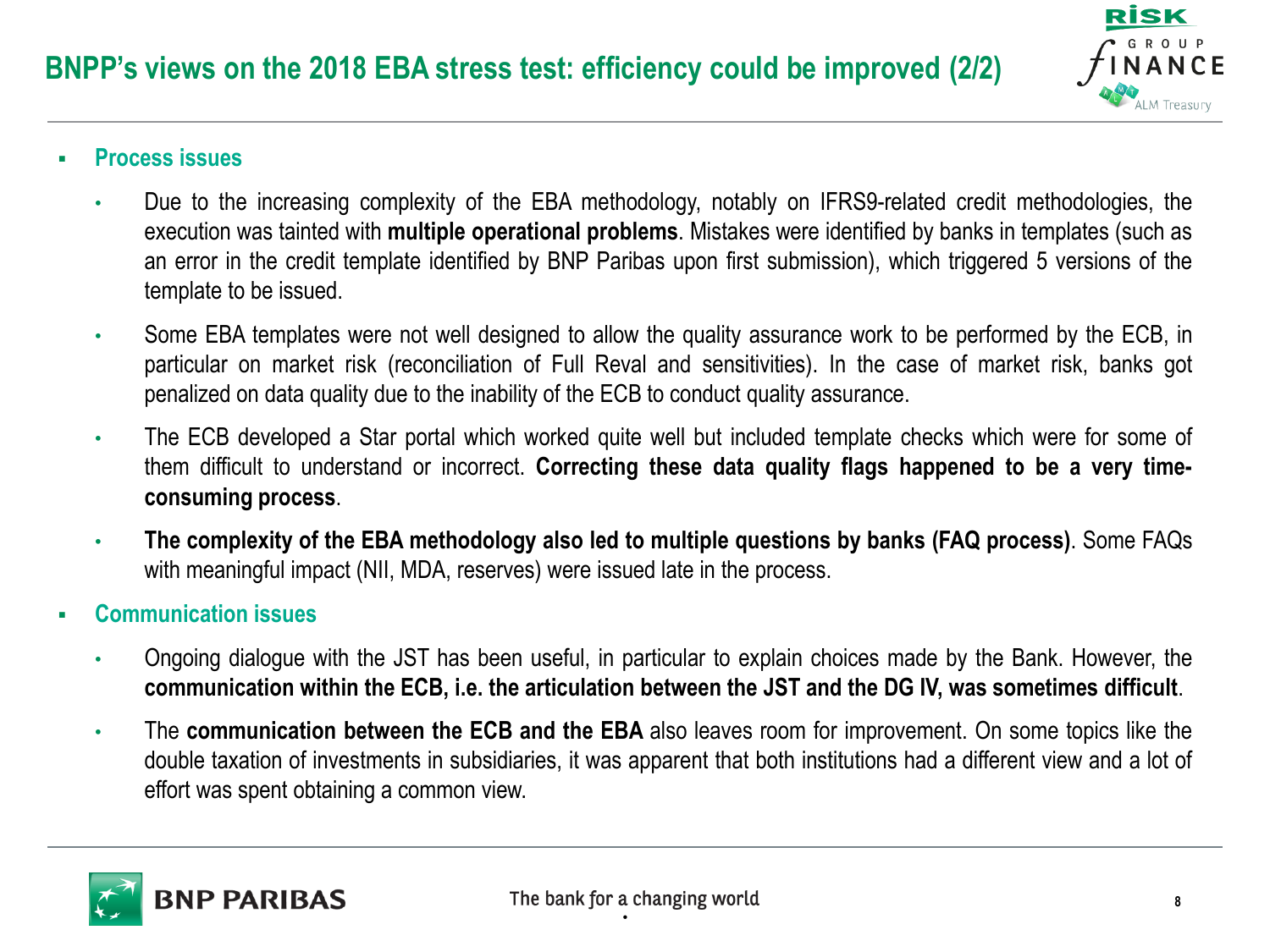

- **Process issues**
	- Due to the increasing complexity of the EBA methodology, notably on IFRS9-related credit methodologies, the execution was tainted with **multiple operational problems**. Mistakes were identified by banks in templates (such as an error in the credit template identified by BNP Paribas upon first submission), which triggered 5 versions of the template to be issued.
	- Some EBA templates were not well designed to allow the quality assurance work to be performed by the ECB, in particular on market risk (reconciliation of Full Reval and sensitivities). In the case of market risk, banks got penalized on data quality due to the inability of the ECB to conduct quality assurance.
	- The ECB developed a Star portal which worked quite well but included template checks which were for some of them difficult to understand or incorrect. **Correcting these data quality flags happened to be a very timeconsuming process**.
	- **The complexity of the EBA methodology also led to multiple questions by banks (FAQ process)**. Some FAQs with meaningful impact (NII, MDA, reserves) were issued late in the process.
- **Communication issues**
	- Ongoing dialogue with the JST has been useful, in particular to explain choices made by the Bank. However, the communication within the ECB, i.e. the articulation between the JST and the DG IV, was sometimes difficult.
	- The **communication between the ECB and the EBA** also leaves room for improvement. On some topics like the double taxation of investments in subsidiaries, it was apparent that both institutions had a different view and a lot of effort was spent obtaining a common view.